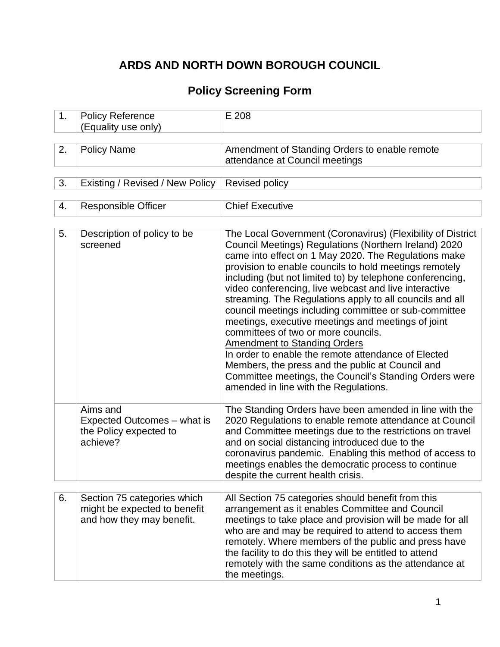# **ARDS AND NORTH DOWN BOROUGH COUNCIL**

# **Policy Screening Form**

| 1. | <b>Policy Reference</b><br>(Equality use only)                                           | E 208                                                                                                                                                                                                                                                                                                                                                                                                                                                                                                                                                                                                                                                                                                                                                                                                                               |
|----|------------------------------------------------------------------------------------------|-------------------------------------------------------------------------------------------------------------------------------------------------------------------------------------------------------------------------------------------------------------------------------------------------------------------------------------------------------------------------------------------------------------------------------------------------------------------------------------------------------------------------------------------------------------------------------------------------------------------------------------------------------------------------------------------------------------------------------------------------------------------------------------------------------------------------------------|
| 2. | <b>Policy Name</b>                                                                       | Amendment of Standing Orders to enable remote<br>attendance at Council meetings                                                                                                                                                                                                                                                                                                                                                                                                                                                                                                                                                                                                                                                                                                                                                     |
| 3. | Existing / Revised / New Policy                                                          | <b>Revised policy</b>                                                                                                                                                                                                                                                                                                                                                                                                                                                                                                                                                                                                                                                                                                                                                                                                               |
| 4. | <b>Responsible Officer</b>                                                               | <b>Chief Executive</b>                                                                                                                                                                                                                                                                                                                                                                                                                                                                                                                                                                                                                                                                                                                                                                                                              |
| 5. | Description of policy to be<br>screened                                                  | The Local Government (Coronavirus) (Flexibility of District<br>Council Meetings) Regulations (Northern Ireland) 2020<br>came into effect on 1 May 2020. The Regulations make<br>provision to enable councils to hold meetings remotely<br>including (but not limited to) by telephone conferencing,<br>video conferencing, live webcast and live interactive<br>streaming. The Regulations apply to all councils and all<br>council meetings including committee or sub-committee<br>meetings, executive meetings and meetings of joint<br>committees of two or more councils.<br><b>Amendment to Standing Orders</b><br>In order to enable the remote attendance of Elected<br>Members, the press and the public at Council and<br>Committee meetings, the Council's Standing Orders were<br>amended in line with the Regulations. |
|    | Aims and<br>Expected Outcomes – what is<br>the Policy expected to<br>achieve?            | The Standing Orders have been amended in line with the<br>2020 Regulations to enable remote attendance at Council<br>and Committee meetings due to the restrictions on travel<br>and on social distancing introduced due to the<br>coronavirus pandemic. Enabling this method of access to<br>meetings enables the democratic process to continue<br>despite the current health crisis.                                                                                                                                                                                                                                                                                                                                                                                                                                             |
| 6. | Section 75 categories which<br>might be expected to benefit<br>and how they may benefit. | All Section 75 categories should benefit from this<br>arrangement as it enables Committee and Council<br>meetings to take place and provision will be made for all<br>who are and may be required to attend to access them<br>remotely. Where members of the public and press have<br>the facility to do this they will be entitled to attend<br>remotely with the same conditions as the attendance at<br>the meetings.                                                                                                                                                                                                                                                                                                                                                                                                            |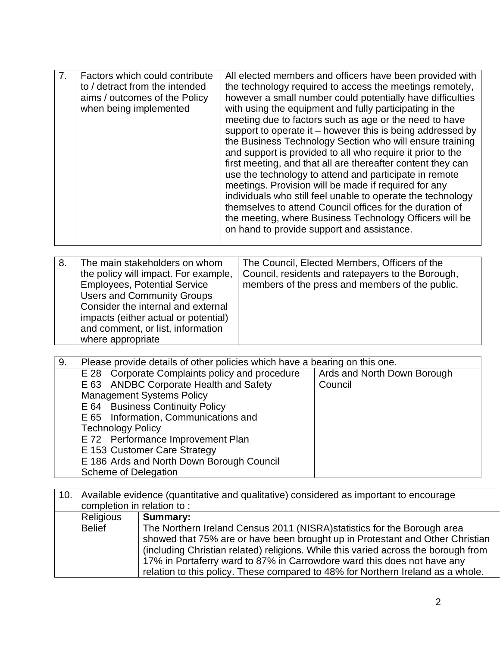|  | Factors which could contribute<br>to / detract from the intended<br>aims / outcomes of the Policy<br>when being implemented | All elected members and officers have been provided with<br>the technology required to access the meetings remotely,<br>however a small number could potentially have difficulties<br>with using the equipment and fully participating in the<br>meeting due to factors such as age or the need to have<br>support to operate it – however this is being addressed by<br>the Business Technology Section who will ensure training<br>and support is provided to all who require it prior to the<br>first meeting, and that all are thereafter content they can<br>use the technology to attend and participate in remote<br>meetings. Provision will be made if required for any<br>individuals who still feel unable to operate the technology<br>themselves to attend Council offices for the duration of<br>the meeting, where Business Technology Officers will be<br>on hand to provide support and assistance. |
|--|-----------------------------------------------------------------------------------------------------------------------------|----------------------------------------------------------------------------------------------------------------------------------------------------------------------------------------------------------------------------------------------------------------------------------------------------------------------------------------------------------------------------------------------------------------------------------------------------------------------------------------------------------------------------------------------------------------------------------------------------------------------------------------------------------------------------------------------------------------------------------------------------------------------------------------------------------------------------------------------------------------------------------------------------------------------|
|--|-----------------------------------------------------------------------------------------------------------------------------|----------------------------------------------------------------------------------------------------------------------------------------------------------------------------------------------------------------------------------------------------------------------------------------------------------------------------------------------------------------------------------------------------------------------------------------------------------------------------------------------------------------------------------------------------------------------------------------------------------------------------------------------------------------------------------------------------------------------------------------------------------------------------------------------------------------------------------------------------------------------------------------------------------------------|

| 8. | The main stakeholders on whom<br>the policy will impact. For example,<br><b>Employees, Potential Service</b><br><b>Users and Community Groups</b><br>Consider the internal and external<br>impacts (either actual or potential)<br>and comment, or list, information<br>where appropriate | The Council, Elected Members, Officers of the<br>Council, residents and ratepayers to the Borough,<br>members of the press and members of the public. |
|----|-------------------------------------------------------------------------------------------------------------------------------------------------------------------------------------------------------------------------------------------------------------------------------------------|-------------------------------------------------------------------------------------------------------------------------------------------------------|
|----|-------------------------------------------------------------------------------------------------------------------------------------------------------------------------------------------------------------------------------------------------------------------------------------------|-------------------------------------------------------------------------------------------------------------------------------------------------------|

| 9. | Please provide details of other policies which have a bearing on this one. |                             |  |  |  |  |  |
|----|----------------------------------------------------------------------------|-----------------------------|--|--|--|--|--|
|    | E 28 Corporate Complaints policy and procedure                             | Ards and North Down Borough |  |  |  |  |  |
|    | E 63 ANDBC Corporate Health and Safety                                     | Council                     |  |  |  |  |  |
|    | <b>Management Systems Policy</b>                                           |                             |  |  |  |  |  |
|    | E 64 Business Continuity Policy                                            |                             |  |  |  |  |  |
|    | E 65 Information, Communications and                                       |                             |  |  |  |  |  |
|    | <b>Technology Policy</b>                                                   |                             |  |  |  |  |  |
|    | E 72 Performance Improvement Plan                                          |                             |  |  |  |  |  |
|    | E 153 Customer Care Strategy                                               |                             |  |  |  |  |  |
|    | E 186 Ards and North Down Borough Council                                  |                             |  |  |  |  |  |
|    | Scheme of Delegation                                                       |                             |  |  |  |  |  |

| 10. |                            | Available evidence (quantitative and qualitative) considered as important to encourage                                                                                                                                                                                                                                     |  |  |  |  |  |  |  |
|-----|----------------------------|----------------------------------------------------------------------------------------------------------------------------------------------------------------------------------------------------------------------------------------------------------------------------------------------------------------------------|--|--|--|--|--|--|--|
|     | completion in relation to: |                                                                                                                                                                                                                                                                                                                            |  |  |  |  |  |  |  |
|     | Religious                  | Summary:                                                                                                                                                                                                                                                                                                                   |  |  |  |  |  |  |  |
|     | <b>Belief</b>              | The Northern Ireland Census 2011 (NISRA) statistics for the Borough area<br>showed that 75% are or have been brought up in Protestant and Other Christian<br>(including Christian related) religions. While this varied across the borough from<br>17% in Portaferry ward to 87% in Carrowdore ward this does not have any |  |  |  |  |  |  |  |
|     |                            | relation to this policy. These compared to 48% for Northern Ireland as a whole.                                                                                                                                                                                                                                            |  |  |  |  |  |  |  |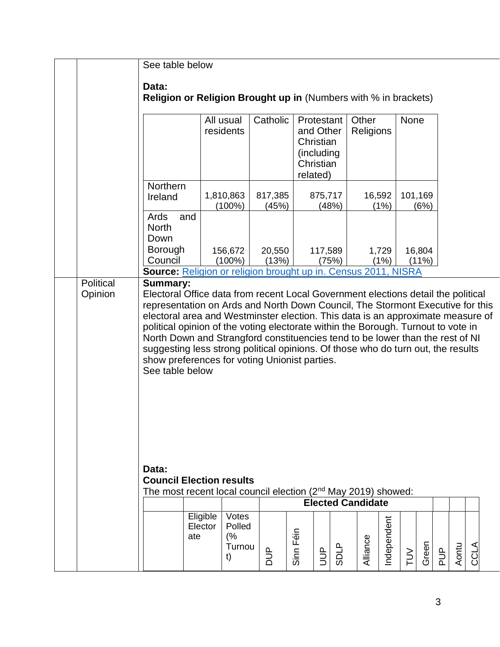|  |           | See table below                                                                                                                                                                                                                                                                                                                                                                                                                                                                                                                                                                      |                            |                                 |                          |           |                                                                             |             |                    |             |        |                 |     |       |      |  |
|--|-----------|--------------------------------------------------------------------------------------------------------------------------------------------------------------------------------------------------------------------------------------------------------------------------------------------------------------------------------------------------------------------------------------------------------------------------------------------------------------------------------------------------------------------------------------------------------------------------------------|----------------------------|---------------------------------|--------------------------|-----------|-----------------------------------------------------------------------------|-------------|--------------------|-------------|--------|-----------------|-----|-------|------|--|
|  |           | Data:<br><b>Religion or Religion Brought up in (Numbers with % in brackets)</b>                                                                                                                                                                                                                                                                                                                                                                                                                                                                                                      |                            |                                 |                          |           |                                                                             |             |                    |             |        |                 |     |       |      |  |
|  |           |                                                                                                                                                                                                                                                                                                                                                                                                                                                                                                                                                                                      |                            | All usual<br>residents          | Catholic                 |           | Protestant<br>and Other<br>Christian<br>(including<br>Christian<br>related) |             | Other<br>Religions |             | None   |                 |     |       |      |  |
|  |           | Northern<br>Ireland                                                                                                                                                                                                                                                                                                                                                                                                                                                                                                                                                                  |                            | 1,810,863<br>$(100\%)$          | 817,385<br>(45%)         |           | 875,717<br>(48%)                                                            |             | 16,592             | (1%)        |        | 101,169<br>(6%) |     |       |      |  |
|  |           | Ards<br>and<br><b>North</b><br>Down<br>Borough                                                                                                                                                                                                                                                                                                                                                                                                                                                                                                                                       |                            | 156,672                         | 20,550                   |           | 117,589                                                                     |             |                    | 1,729       |        | 16,804          |     |       |      |  |
|  |           | Council                                                                                                                                                                                                                                                                                                                                                                                                                                                                                                                                                                              |                            | $(100\%)$                       | (13%)                    |           | (75%)                                                                       |             |                    | (1%)        |        | $(11\%)$        |     |       |      |  |
|  | Political | Source: Religion or religion brought up in. Census 2011, NISRA<br><b>Summary:</b>                                                                                                                                                                                                                                                                                                                                                                                                                                                                                                    |                            |                                 |                          |           |                                                                             |             |                    |             |        |                 |     |       |      |  |
|  | Opinion   | Electoral Office data from recent Local Government elections detail the political<br>representation on Ards and North Down Council, The Stormont Executive for this<br>electoral area and Westminster election. This data is an approximate measure of<br>political opinion of the voting electorate within the Borough. Turnout to vote in<br>North Down and Strangford constituencies tend to be lower than the rest of NI<br>suggesting less strong political opinions. Of those who do turn out, the results<br>show preferences for voting Unionist parties.<br>See table below |                            |                                 |                          |           |                                                                             |             |                    |             |        |                 |     |       |      |  |
|  |           | Data:<br><b>Council Election results</b>                                                                                                                                                                                                                                                                                                                                                                                                                                                                                                                                             |                            |                                 |                          |           |                                                                             |             |                    |             |        |                 |     |       |      |  |
|  |           | The most recent local council election (2nd May 2019) showed:                                                                                                                                                                                                                                                                                                                                                                                                                                                                                                                        |                            |                                 |                          |           | <b>Elected Candidate</b>                                                    |             |                    |             |        |                 |     |       |      |  |
|  |           |                                                                                                                                                                                                                                                                                                                                                                                                                                                                                                                                                                                      | Eligible<br>Elector<br>ate | Votes<br>Polled<br>(%<br>Turnou | $\mathbf{\underline{a}}$ | Sinn Féin | <b>ACI</b>                                                                  | <b>SDLP</b> | Alliance           | Independent |        | Green           |     | Aontu | CCLA |  |
|  |           |                                                                                                                                                                                                                                                                                                                                                                                                                                                                                                                                                                                      |                            | t)                              | $\overline{a}$           |           |                                                                             |             |                    |             | $\geq$ |                 | PUP |       |      |  |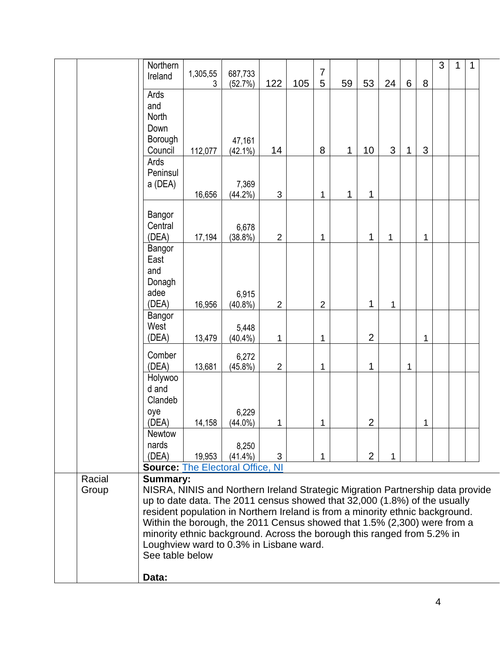|  |                 | Northern<br>Ireland                                                                                                | 1,305,55 | 687,733             |                |     | $\overline{7}$ |    |                |    |                |   | 3 | 1 | 1 |  |
|--|-----------------|--------------------------------------------------------------------------------------------------------------------|----------|---------------------|----------------|-----|----------------|----|----------------|----|----------------|---|---|---|---|--|
|  |                 | Ards                                                                                                               | 3        | (52.7%)             | 122            | 105 | 5              | 59 | 53             | 24 | $6\phantom{1}$ | 8 |   |   |   |  |
|  |                 | and                                                                                                                |          |                     |                |     |                |    |                |    |                |   |   |   |   |  |
|  |                 | North                                                                                                              |          |                     |                |     |                |    |                |    |                |   |   |   |   |  |
|  |                 | Down                                                                                                               |          |                     |                |     |                |    |                |    |                |   |   |   |   |  |
|  |                 | Borough                                                                                                            |          | 47,161              |                |     |                |    |                |    |                |   |   |   |   |  |
|  |                 | Council                                                                                                            | 112,077  | $(42.1\%)$          | 14             |     | 8              | 1  | 10             | 3  | 1              | 3 |   |   |   |  |
|  |                 | Ards<br>Peninsul                                                                                                   |          |                     |                |     |                |    |                |    |                |   |   |   |   |  |
|  |                 | a (DEA)                                                                                                            |          | 7,369               |                |     |                |    |                |    |                |   |   |   |   |  |
|  |                 |                                                                                                                    | 16,656   | $(44.2\%)$          | $\mathbf{3}$   |     | 1              | 1  | 1              |    |                |   |   |   |   |  |
|  |                 | Bangor                                                                                                             |          |                     |                |     |                |    |                |    |                |   |   |   |   |  |
|  |                 | Central                                                                                                            |          | 6,678               |                |     |                |    |                |    |                |   |   |   |   |  |
|  |                 | (DEA)                                                                                                              | 17,194   | $(38.8\%)$          | $\overline{2}$ |     | 1              |    | 1              | 1  |                | 1 |   |   |   |  |
|  |                 | Bangor                                                                                                             |          |                     |                |     |                |    |                |    |                |   |   |   |   |  |
|  |                 | East                                                                                                               |          |                     |                |     |                |    |                |    |                |   |   |   |   |  |
|  |                 | and<br>Donagh                                                                                                      |          |                     |                |     |                |    |                |    |                |   |   |   |   |  |
|  |                 | adee                                                                                                               |          | 6,915               |                |     |                |    |                |    |                |   |   |   |   |  |
|  |                 | (DEA)                                                                                                              | 16,956   | $(40.8\%)$          | $\overline{2}$ |     | $\overline{2}$ |    | 1              | 1  |                |   |   |   |   |  |
|  |                 | Bangor                                                                                                             |          |                     |                |     |                |    |                |    |                |   |   |   |   |  |
|  |                 | West                                                                                                               |          | 5,448               |                |     |                |    | $\overline{2}$ |    |                |   |   |   |   |  |
|  |                 | (DEA)                                                                                                              | 13,479   | $(40.4\%)$          | 1              |     | 1              |    |                |    |                | 1 |   |   |   |  |
|  |                 | Comber<br>(DEA)                                                                                                    | 13,681   | 6,272<br>$(45.8\%)$ | $\overline{2}$ |     | 1              |    | 1              |    | 1              |   |   |   |   |  |
|  |                 | Holywoo                                                                                                            |          |                     |                |     |                |    |                |    |                |   |   |   |   |  |
|  |                 | d and                                                                                                              |          |                     |                |     |                |    |                |    |                |   |   |   |   |  |
|  |                 | Clandeb                                                                                                            |          |                     |                |     |                |    |                |    |                |   |   |   |   |  |
|  |                 | oye<br>(DEA)                                                                                                       | 14,158   | 6,229<br>$(44.0\%)$ | $\mathbf{1}$   |     | 1              |    | $\overline{2}$ |    |                | 1 |   |   |   |  |
|  |                 | <b>Newtow</b>                                                                                                      |          |                     |                |     |                |    |                |    |                |   |   |   |   |  |
|  |                 | nards                                                                                                              |          | 8,250               |                |     |                |    |                |    |                |   |   |   |   |  |
|  |                 | (DEA)                                                                                                              | 19,953   | $(41.4\%)$          | 3              |     | 1              |    | $\overline{2}$ | 1  |                |   |   |   |   |  |
|  |                 | <b>Source: The Electoral Office, NI</b>                                                                            |          |                     |                |     |                |    |                |    |                |   |   |   |   |  |
|  | Racial<br>Group | <b>Summary:</b><br>NISRA, NINIS and Northern Ireland Strategic Migration Partnership data provide                  |          |                     |                |     |                |    |                |    |                |   |   |   |   |  |
|  |                 | up to date data. The 2011 census showed that 32,000 (1.8%) of the usually                                          |          |                     |                |     |                |    |                |    |                |   |   |   |   |  |
|  |                 | resident population in Northern Ireland is from a minority ethnic background.                                      |          |                     |                |     |                |    |                |    |                |   |   |   |   |  |
|  |                 | Within the borough, the 2011 Census showed that 1.5% (2,300) were from a                                           |          |                     |                |     |                |    |                |    |                |   |   |   |   |  |
|  |                 | minority ethnic background. Across the borough this ranged from 5.2% in<br>Loughview ward to 0.3% in Lisbane ward. |          |                     |                |     |                |    |                |    |                |   |   |   |   |  |
|  |                 | See table below                                                                                                    |          |                     |                |     |                |    |                |    |                |   |   |   |   |  |
|  |                 | Data:                                                                                                              |          |                     |                |     |                |    |                |    |                |   |   |   |   |  |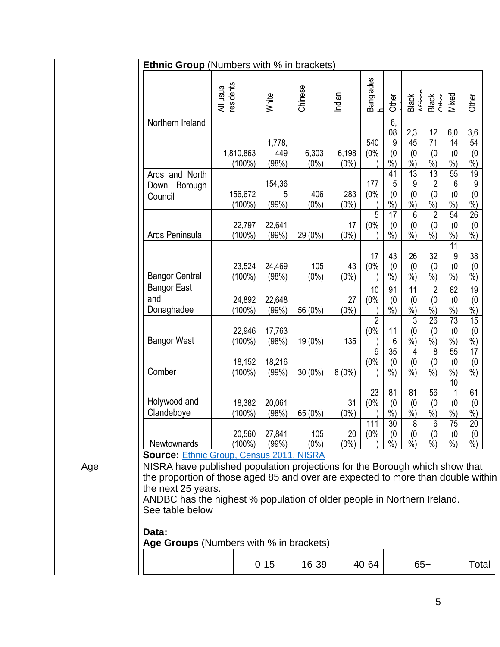|     | <b>Ethnic Group</b> (Numbers with % in brackets)                                                                                                                                                                                                                                    |                        |                        |                  |                  |                             |                                        |                                           |                                                           |                                               |                                                     |  |
|-----|-------------------------------------------------------------------------------------------------------------------------------------------------------------------------------------------------------------------------------------------------------------------------------------|------------------------|------------------------|------------------|------------------|-----------------------------|----------------------------------------|-------------------------------------------|-----------------------------------------------------------|-----------------------------------------------|-----------------------------------------------------|--|
|     |                                                                                                                                                                                                                                                                                     | residents<br>All usual | White                  | Chinese          | Indian           | <b>Banglades</b><br>ੱਟ      | Other                                  | Black                                     | Black<br>С <del>трог</del>                                | Mixed                                         | <b>Other</b>                                        |  |
|     | Northern Ireland                                                                                                                                                                                                                                                                    | 1,810,863<br>$(100\%)$ | 1,778,<br>449<br>(98%) | 6,303<br>$(0\%)$ | 6,198<br>$(0\%)$ | 540<br>(0%                  | 6,<br>08<br>9<br>(0)<br>$%$ )          | 2,3<br>45<br>(0)<br>%                     | 12<br>71<br>(0)<br>%                                      | 6,0<br>14<br>(0)<br>$%$ )                     | 3,6<br>54<br>(0)<br>$\frac{0}{0}$                   |  |
|     | Ards and North<br>Borough<br>Down<br>Council                                                                                                                                                                                                                                        | 156,672<br>$(100\%)$   | 154,36<br>5<br>(99%)   | 406<br>$(0\%)$   | 283<br>$(0\%)$   | 177<br>(0%<br>5             | 41<br>5<br>(0)<br>%<br>17              | $\overline{13}$<br>9<br>(0)<br>$%$ )<br>6 | 13<br>$\overline{c}$<br>(0)<br>$%$ )<br>$\overline{2}$    | 55<br>6<br>(0)<br>$%$ )<br>54                 | $\overline{19}$<br>9<br>(0)<br>%<br>$\overline{26}$ |  |
|     | Ards Peninsula                                                                                                                                                                                                                                                                      | 22,797<br>$(100\%)$    | 22,641<br>(99%)        | 29 (0%)          | 17<br>$(0\%)$    | (0%                         | (0)<br>$\overline{\frac{9}{6}})$       | (0)<br>$\dot{\%}$                         | (0)<br>$\frac{9}{6}$                                      | (0)<br>$%$ )                                  | (0)<br>$%$ )                                        |  |
|     | <b>Bangor Central</b>                                                                                                                                                                                                                                                               | 23,524<br>$(100\%)$    | 24,469<br>(98%)        | 105<br>$(0\%)$   | 43<br>$(0\%)$    | 17<br>(0%                   | 43<br>(0)<br>$\overline{\frac{9}{6}})$ | 26<br>(0)<br>$\dot{\%}$                   | 32<br>(0)<br>$\dot{\%}$                                   | 11<br>9<br>(0)<br>$\frac{9}{6}$               | 38<br>(0)<br>$\dot{90}$                             |  |
|     | <b>Bangor East</b><br>and<br>Donaghadee                                                                                                                                                                                                                                             | 24,892<br>$(100\%)$    | 22,648<br>(99%)        | 56 (0%)          | 27<br>$(0\%)$    | 10<br>(0%<br>$\overline{2}$ | 91<br>(0)<br>$%$ )                     | 11<br>(0)<br>$\frac{9}{6}$<br>3           | $\overline{2}$<br>(0)<br>$\frac{9}{6}$<br>$\overline{26}$ | 82<br>(0)<br>$\frac{9}{6}$<br>$\overline{73}$ | 19<br>(0)<br>$\frac{0}{0}$<br>15                    |  |
|     | <b>Bangor West</b>                                                                                                                                                                                                                                                                  | 22,946<br>$(100\%)$    | 17,763<br>(98%)        | 19 (0%)          | 135              | (0%<br>9                    | 11<br>6<br>$\overline{35}$             | (0)<br>%<br>4                             | (0)<br>$%$ )<br>$\overline{8}$                            | (0)<br>$%$ )<br>55                            | (0)<br>$\frac{0}{0}$<br>17                          |  |
|     | Comber                                                                                                                                                                                                                                                                              | 18,152<br>$(100\%)$    | 18,216<br>(99%)        | 30 (0%)          | 8(0%)            | (0%                         | (0)<br>$\frac{9}{6}$                   | (0)<br>$\dot{\%}$                         | (0)<br>$\frac{9}{6}$                                      | (0)<br>$\frac{9}{6}$<br>10                    | (0)<br>$\frac{9}{6}$                                |  |
|     | Holywood and<br>Clandeboye                                                                                                                                                                                                                                                          | 18,382<br>$(100\%)$    | 20,061<br>(98%)        | 65 (0%)          | 31<br>$(0\%)$    | 23<br>(0%                   | 81<br>(0)<br>%                         | 81<br>(0)<br>$%$ )                        | 56<br>(0)<br>$%$ )                                        | 1<br>(0)<br>$%$ )                             | 61<br>(0)<br>%                                      |  |
|     | Newtownards<br><b>Source: Ethnic Group, Census 2011, NISRA</b>                                                                                                                                                                                                                      | 20,560<br>$(100\%)$    | 27,841<br>(99%)        | 105<br>$(0\%)$   | 20<br>$(0\%)$    | 111<br>(0%                  | 30<br>(0)<br>%)                        | 8<br>(0)<br>$%$ )                         | b<br>(0)<br>%                                             | $\sqrt{5}$<br>(0)<br>$%$ )                    | $\overline{20}$<br>(0)<br>$%$ )                     |  |
| Age | NISRA have published population projections for the Borough which show that<br>the proportion of those aged 85 and over are expected to more than double within<br>the next 25 years.<br>ANDBC has the highest % population of older people in Northern Ireland.<br>See table below |                        |                        |                  |                  |                             |                                        |                                           |                                                           |                                               |                                                     |  |
|     | Data:<br>Age Groups (Numbers with % in brackets)                                                                                                                                                                                                                                    |                        |                        |                  |                  |                             |                                        |                                           |                                                           |                                               |                                                     |  |
|     |                                                                                                                                                                                                                                                                                     |                        | $0 - 15$               | 16-39            |                  | 40-64                       |                                        |                                           | $65+$                                                     |                                               | Total                                               |  |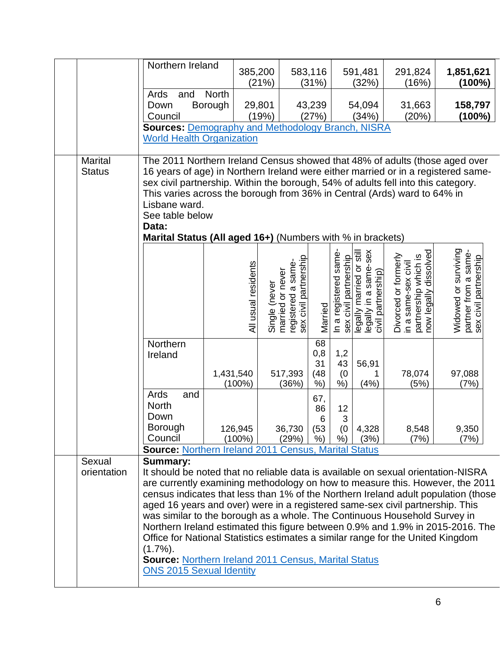|                | Northern Ireland                                                                                                                                                    |                     |               |                                        |                |                                                |                                                   |                                                                       |                                                                       |
|----------------|---------------------------------------------------------------------------------------------------------------------------------------------------------------------|---------------------|---------------|----------------------------------------|----------------|------------------------------------------------|---------------------------------------------------|-----------------------------------------------------------------------|-----------------------------------------------------------------------|
|                |                                                                                                                                                                     |                     | 385,200       |                                        | 583,116        |                                                | 591,481                                           | 291,824                                                               | 1,851,621                                                             |
|                |                                                                                                                                                                     |                     | (21%)         |                                        | (31%)          |                                                | (32%)                                             | (16%)                                                                 | $(100\%)$                                                             |
|                | Ards<br>and                                                                                                                                                         | <b>North</b>        |               |                                        |                |                                                |                                                   |                                                                       |                                                                       |
|                | Down                                                                                                                                                                | Borough             | 29,801        |                                        | 43,239         |                                                | 54,094                                            | 31,663                                                                | 158,797                                                               |
|                | Council                                                                                                                                                             |                     | (19%)         |                                        | (27%)          |                                                | (34%)                                             | (20%)                                                                 | $(100\%)$                                                             |
|                | <b>Sources: Demography and Methodology Branch, NISRA</b>                                                                                                            |                     |               |                                        |                |                                                |                                                   |                                                                       |                                                                       |
|                | <b>World Health Organization</b>                                                                                                                                    |                     |               |                                        |                |                                                |                                                   |                                                                       |                                                                       |
|                |                                                                                                                                                                     |                     |               |                                        |                |                                                |                                                   |                                                                       |                                                                       |
| <b>Marital</b> | The 2011 Northern Ireland Census showed that 48% of adults (those aged over                                                                                         |                     |               |                                        |                |                                                |                                                   |                                                                       |                                                                       |
| <b>Status</b>  | 16 years of age) in Northern Ireland were either married or in a registered same-                                                                                   |                     |               |                                        |                |                                                |                                                   |                                                                       |                                                                       |
|                | sex civil partnership. Within the borough, 54% of adults fell into this category.                                                                                   |                     |               |                                        |                |                                                |                                                   |                                                                       |                                                                       |
|                | This varies across the borough from 36% in Central (Ards) ward to 64% in                                                                                            |                     |               |                                        |                |                                                |                                                   |                                                                       |                                                                       |
|                | Lisbane ward.                                                                                                                                                       |                     |               |                                        |                |                                                |                                                   |                                                                       |                                                                       |
|                | See table below                                                                                                                                                     |                     |               |                                        |                |                                                |                                                   |                                                                       |                                                                       |
|                | Data:                                                                                                                                                               |                     |               |                                        |                |                                                |                                                   |                                                                       |                                                                       |
|                | Marital Status (All aged 16+) (Numbers with % in brackets)                                                                                                          |                     |               |                                        |                |                                                |                                                   |                                                                       |                                                                       |
|                |                                                                                                                                                                     |                     |               |                                        |                |                                                |                                                   |                                                                       |                                                                       |
|                |                                                                                                                                                                     |                     |               | sex civil partnership                  |                | In a registered same-<br>sex civil partnership | legally married or still<br>legally in a same-sex | partnership which is<br>now legally dissolved<br>Divorced or formerly | Widowed or surviving<br>partner from a same-<br>sex civil partnership |
|                |                                                                                                                                                                     |                     |               |                                        |                |                                                |                                                   |                                                                       |                                                                       |
|                |                                                                                                                                                                     |                     |               |                                        |                |                                                |                                                   |                                                                       |                                                                       |
|                |                                                                                                                                                                     |                     |               |                                        |                |                                                |                                                   |                                                                       |                                                                       |
|                |                                                                                                                                                                     | All usual residents | Single (never | registered a same-<br>married or never | Married        |                                                | civil partnership)                                | in a same-sex civil                                                   |                                                                       |
|                |                                                                                                                                                                     |                     |               |                                        |                |                                                |                                                   |                                                                       |                                                                       |
|                |                                                                                                                                                                     |                     |               |                                        |                |                                                |                                                   |                                                                       |                                                                       |
|                | Northern                                                                                                                                                            |                     |               |                                        | 68             |                                                |                                                   |                                                                       |                                                                       |
|                | Ireland                                                                                                                                                             |                     |               |                                        | 0,8            | 1,2                                            |                                                   |                                                                       |                                                                       |
|                |                                                                                                                                                                     |                     |               |                                        | 31             | 43                                             | 56,91                                             |                                                                       |                                                                       |
|                |                                                                                                                                                                     | 1,431,540           |               | 517,393                                | (48)           | (0)                                            | 1                                                 | 78,074                                                                | 97,088                                                                |
|                |                                                                                                                                                                     | $(100\%)$           |               | (36%)                                  | $%$ )          | $%$ )                                          | (4% )                                             | (5%)                                                                  | (7%)                                                                  |
|                | Ards<br>and                                                                                                                                                         |                     |               |                                        | 67,            |                                                |                                                   |                                                                       |                                                                       |
|                | <b>North</b>                                                                                                                                                        |                     |               |                                        | 86             | 12                                             |                                                   |                                                                       |                                                                       |
|                | Down                                                                                                                                                                |                     |               |                                        | $6\phantom{1}$ | 3                                              |                                                   |                                                                       |                                                                       |
|                | <b>Borough</b><br>Council                                                                                                                                           | 126,945             |               | 36,730                                 | (53)           | (0)                                            | 4,328                                             | 8,548                                                                 | 9,350                                                                 |
|                | <b>Source: Northern Ireland 2011 Census, Marital Status</b>                                                                                                         | $(100\%)$           |               | (29%)                                  | %)             | $%$ )                                          | (3%)                                              | (7%)                                                                  | (7%)                                                                  |
| Sexual         | <b>Summary:</b>                                                                                                                                                     |                     |               |                                        |                |                                                |                                                   |                                                                       |                                                                       |
| orientation    | It should be noted that no reliable data is available on sexual orientation-NISRA                                                                                   |                     |               |                                        |                |                                                |                                                   |                                                                       |                                                                       |
|                | are currently examining methodology on how to measure this. However, the 2011                                                                                       |                     |               |                                        |                |                                                |                                                   |                                                                       |                                                                       |
|                |                                                                                                                                                                     |                     |               |                                        |                |                                                |                                                   |                                                                       |                                                                       |
|                | census indicates that less than 1% of the Northern Ireland adult population (those<br>aged 16 years and over) were in a registered same-sex civil partnership. This |                     |               |                                        |                |                                                |                                                   |                                                                       |                                                                       |
|                | was similar to the borough as a whole. The Continuous Household Survey in                                                                                           |                     |               |                                        |                |                                                |                                                   |                                                                       |                                                                       |
|                | Northern Ireland estimated this figure between 0.9% and 1.9% in 2015-2016. The                                                                                      |                     |               |                                        |                |                                                |                                                   |                                                                       |                                                                       |
|                | Office for National Statistics estimates a similar range for the United Kingdom                                                                                     |                     |               |                                        |                |                                                |                                                   |                                                                       |                                                                       |
|                | $(1.7\%)$ .                                                                                                                                                         |                     |               |                                        |                |                                                |                                                   |                                                                       |                                                                       |
|                | <b>Source: Northern Ireland 2011 Census, Marital Status</b>                                                                                                         |                     |               |                                        |                |                                                |                                                   |                                                                       |                                                                       |
|                | <b>ONS 2015 Sexual Identity</b>                                                                                                                                     |                     |               |                                        |                |                                                |                                                   |                                                                       |                                                                       |
|                |                                                                                                                                                                     |                     |               |                                        |                |                                                |                                                   |                                                                       |                                                                       |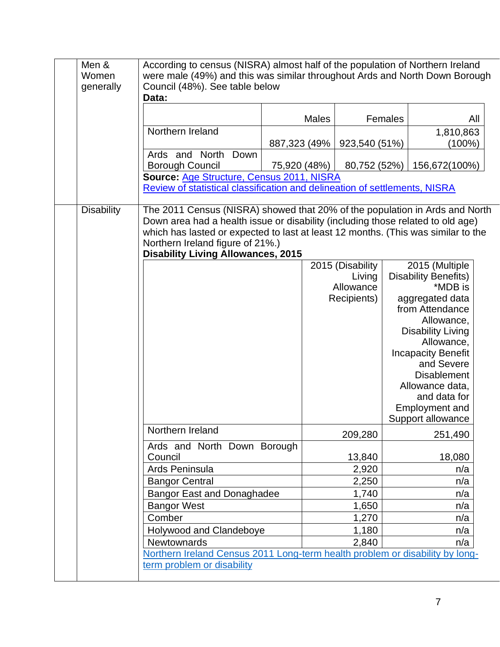| Men &<br>Women<br>generally | According to census (NISRA) almost half of the population of Northern Ireland<br>were male (49%) and this was similar throughout Ards and North Down Borough<br>Council (48%). See table below<br>Data:                                                                                                                              |              |              |                            |         |                                               |     |
|-----------------------------|--------------------------------------------------------------------------------------------------------------------------------------------------------------------------------------------------------------------------------------------------------------------------------------------------------------------------------------|--------------|--------------|----------------------------|---------|-----------------------------------------------|-----|
|                             |                                                                                                                                                                                                                                                                                                                                      |              | <b>Males</b> |                            | Females |                                               | All |
|                             | Northern Ireland                                                                                                                                                                                                                                                                                                                     |              |              |                            |         | 1,810,863                                     |     |
|                             |                                                                                                                                                                                                                                                                                                                                      | 887,323 (49% |              | 923,540 (51%)              |         | (100%)                                        |     |
|                             | Ards and North<br>Down                                                                                                                                                                                                                                                                                                               |              |              |                            |         |                                               |     |
|                             | <b>Borough Council</b>                                                                                                                                                                                                                                                                                                               |              | 75,920 (48%) | 80,752 (52%)               |         | 156,672(100%)                                 |     |
|                             | Source: Age Structure, Census 2011, NISRA<br>Review of statistical classification and delineation of settlements, NISRA                                                                                                                                                                                                              |              |              |                            |         |                                               |     |
| <b>Disability</b>           | The 2011 Census (NISRA) showed that 20% of the population in Ards and North<br>Down area had a health issue or disability (including those related to old age)<br>which has lasted or expected to last at least 12 months. (This was similar to the<br>Northern Ireland figure of 21%.)<br><b>Disability Living Allowances, 2015</b> |              |              |                            |         |                                               |     |
|                             |                                                                                                                                                                                                                                                                                                                                      |              |              | 2015 (Disability<br>Living |         | 2015 (Multiple<br><b>Disability Benefits)</b> |     |
|                             |                                                                                                                                                                                                                                                                                                                                      |              |              | Allowance                  |         | *MDB is                                       |     |
|                             |                                                                                                                                                                                                                                                                                                                                      |              |              | Recipients)                |         | aggregated data                               |     |
|                             |                                                                                                                                                                                                                                                                                                                                      |              |              |                            |         | from Attendance                               |     |
|                             |                                                                                                                                                                                                                                                                                                                                      |              |              |                            |         | Allowance,                                    |     |
|                             |                                                                                                                                                                                                                                                                                                                                      |              |              |                            |         | <b>Disability Living</b><br>Allowance,        |     |
|                             |                                                                                                                                                                                                                                                                                                                                      |              |              |                            |         | <b>Incapacity Benefit</b>                     |     |
|                             |                                                                                                                                                                                                                                                                                                                                      |              |              |                            |         | and Severe                                    |     |
|                             |                                                                                                                                                                                                                                                                                                                                      |              |              |                            |         | <b>Disablement</b>                            |     |
|                             |                                                                                                                                                                                                                                                                                                                                      |              |              |                            |         | Allowance data,                               |     |
|                             |                                                                                                                                                                                                                                                                                                                                      |              |              |                            |         | and data for                                  |     |
|                             |                                                                                                                                                                                                                                                                                                                                      |              |              |                            |         | <b>Employment and</b><br>Support allowance    |     |
|                             | Northern Ireland                                                                                                                                                                                                                                                                                                                     |              |              | 209,280                    |         | 251,490                                       |     |
|                             | Ards and North Down Borough<br>Council                                                                                                                                                                                                                                                                                               |              |              | 13,840                     |         | 18,080                                        |     |
|                             | Ards Peninsula                                                                                                                                                                                                                                                                                                                       |              |              | 2,920                      |         | n/a                                           |     |
|                             | <b>Bangor Central</b>                                                                                                                                                                                                                                                                                                                |              |              | 2,250                      |         | n/a                                           |     |
|                             | <b>Bangor East and Donaghadee</b>                                                                                                                                                                                                                                                                                                    |              |              | 1,740                      |         | n/a                                           |     |
|                             | <b>Bangor West</b>                                                                                                                                                                                                                                                                                                                   |              |              | 1,650                      |         | n/a                                           |     |
|                             | Comber                                                                                                                                                                                                                                                                                                                               |              |              | 1,270                      |         | n/a                                           |     |
|                             | Holywood and Clandeboye                                                                                                                                                                                                                                                                                                              |              |              | 1,180                      |         | n/a                                           |     |
|                             | Newtownards                                                                                                                                                                                                                                                                                                                          |              |              | 2,840                      |         | n/a                                           |     |
|                             | Northern Ireland Census 2011 Long-term health problem or disability by long-                                                                                                                                                                                                                                                         |              |              |                            |         |                                               |     |
|                             | term problem or disability                                                                                                                                                                                                                                                                                                           |              |              |                            |         |                                               |     |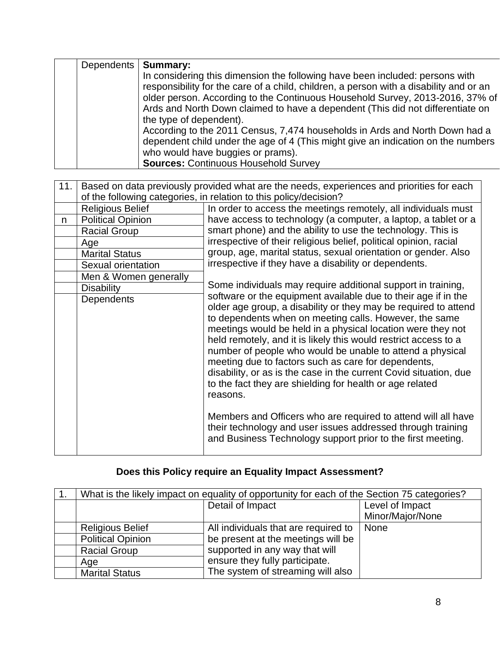| Dependents | <b>Summary:</b>                                                                        |
|------------|----------------------------------------------------------------------------------------|
|            | In considering this dimension the following have been included: persons with           |
|            | responsibility for the care of a child, children, a person with a disability and or an |
|            | older person. According to the Continuous Household Survey, 2013-2016, 37% of          |
|            | Ards and North Down claimed to have a dependent (This did not differentiate on         |
|            | the type of dependent).                                                                |
|            | According to the 2011 Census, 7,474 households in Ards and North Down had a            |
|            | dependent child under the age of 4 (This might give an indication on the numbers       |
|            | who would have buggies or prams).                                                      |
|            | <b>Sources: Continuous Household Survey</b>                                            |

| 11. |                          | Based on data previously provided what are the needs, experiences and priorities for each                                                                                                                                                                                                                                                                                                                                                                                                                                                                                                                                                                       |
|-----|--------------------------|-----------------------------------------------------------------------------------------------------------------------------------------------------------------------------------------------------------------------------------------------------------------------------------------------------------------------------------------------------------------------------------------------------------------------------------------------------------------------------------------------------------------------------------------------------------------------------------------------------------------------------------------------------------------|
|     |                          | of the following categories, in relation to this policy/decision?                                                                                                                                                                                                                                                                                                                                                                                                                                                                                                                                                                                               |
|     | <b>Religious Belief</b>  | In order to access the meetings remotely, all individuals must                                                                                                                                                                                                                                                                                                                                                                                                                                                                                                                                                                                                  |
| n   | <b>Political Opinion</b> | have access to technology (a computer, a laptop, a tablet or a                                                                                                                                                                                                                                                                                                                                                                                                                                                                                                                                                                                                  |
|     | <b>Racial Group</b>      | smart phone) and the ability to use the technology. This is                                                                                                                                                                                                                                                                                                                                                                                                                                                                                                                                                                                                     |
|     | Age                      | irrespective of their religious belief, political opinion, racial                                                                                                                                                                                                                                                                                                                                                                                                                                                                                                                                                                                               |
|     | <b>Marital Status</b>    | group, age, marital status, sexual orientation or gender. Also                                                                                                                                                                                                                                                                                                                                                                                                                                                                                                                                                                                                  |
|     | Sexual orientation       | irrespective if they have a disability or dependents.                                                                                                                                                                                                                                                                                                                                                                                                                                                                                                                                                                                                           |
|     | Men & Women generally    |                                                                                                                                                                                                                                                                                                                                                                                                                                                                                                                                                                                                                                                                 |
|     | <b>Disability</b>        | Some individuals may require additional support in training,                                                                                                                                                                                                                                                                                                                                                                                                                                                                                                                                                                                                    |
|     | Dependents               | software or the equipment available due to their age if in the<br>older age group, a disability or they may be required to attend<br>to dependents when on meeting calls. However, the same<br>meetings would be held in a physical location were they not<br>held remotely, and it is likely this would restrict access to a<br>number of people who would be unable to attend a physical<br>meeting due to factors such as care for dependents,<br>disability, or as is the case in the current Covid situation, due<br>to the fact they are shielding for health or age related<br>reasons.<br>Members and Officers who are required to attend will all have |
|     |                          | their technology and user issues addressed through training<br>and Business Technology support prior to the first meeting.                                                                                                                                                                                                                                                                                                                                                                                                                                                                                                                                      |

# **Does this Policy require an Equality Impact Assessment?**

| What is the likely impact on equality of opportunity for each of the Section 75 categories? |                                      |                  |
|---------------------------------------------------------------------------------------------|--------------------------------------|------------------|
|                                                                                             | Detail of Impact                     | Level of Impact  |
|                                                                                             |                                      | Minor/Major/None |
| <b>Religious Belief</b>                                                                     | All individuals that are required to | <b>None</b>      |
| <b>Political Opinion</b>                                                                    | be present at the meetings will be   |                  |
| <b>Racial Group</b>                                                                         | supported in any way that will       |                  |
| Age                                                                                         | ensure they fully participate.       |                  |
| <b>Marital Status</b>                                                                       | The system of streaming will also    |                  |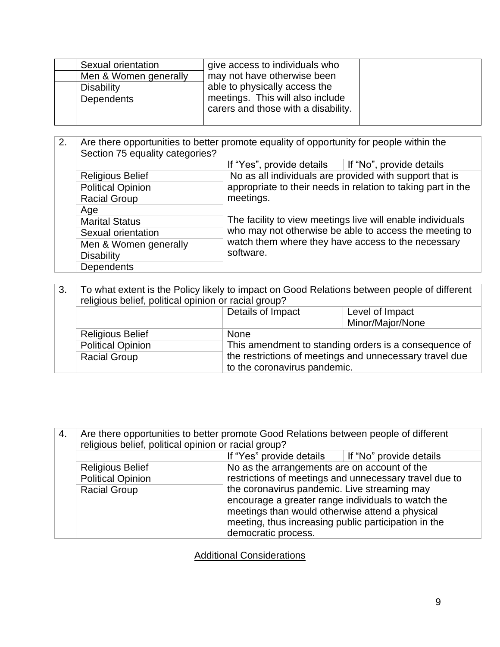| Sexual orientation<br>Men & Women generally | give access to individuals who<br>may not have otherwise been           |  |
|---------------------------------------------|-------------------------------------------------------------------------|--|
| <b>Disability</b>                           | able to physically access the                                           |  |
| Dependents                                  | meetings. This will also include<br>carers and those with a disability. |  |

| 2. | Are there opportunities to better promote equality of opportunity for people within the<br>Section 75 equality categories? |                                                                |
|----|----------------------------------------------------------------------------------------------------------------------------|----------------------------------------------------------------|
|    |                                                                                                                            | If "Yes", provide details $\parallel$ If "No", provide details |
|    | <b>Religious Belief</b>                                                                                                    | No as all individuals are provided with support that is        |
|    | <b>Political Opinion</b>                                                                                                   | appropriate to their needs in relation to taking part in the   |
|    | <b>Racial Group</b>                                                                                                        | meetings.                                                      |
|    | Age                                                                                                                        |                                                                |
|    | <b>Marital Status</b>                                                                                                      | The facility to view meetings live will enable individuals     |
|    | Sexual orientation                                                                                                         | who may not otherwise be able to access the meeting to         |
|    | Men & Women generally                                                                                                      | watch them where they have access to the necessary             |
|    | <b>Disability</b>                                                                                                          | software.                                                      |
|    | <b>Dependents</b>                                                                                                          |                                                                |

| 3.                  | To what extent is the Policy likely to impact on Good Relations between people of different<br>religious belief, political opinion or racial group? |                              |                                                         |
|---------------------|-----------------------------------------------------------------------------------------------------------------------------------------------------|------------------------------|---------------------------------------------------------|
|                     | Details of Impact                                                                                                                                   |                              | Level of Impact                                         |
|                     |                                                                                                                                                     |                              | Minor/Major/None                                        |
|                     | <b>Religious Belief</b>                                                                                                                             | <b>None</b>                  |                                                         |
|                     | <b>Political Opinion</b><br>This amendment to standing orders is a consequence of                                                                   |                              |                                                         |
| <b>Racial Group</b> |                                                                                                                                                     | to the coronavirus pandemic. | the restrictions of meetings and unnecessary travel due |

| 4. | Are there opportunities to better promote Good Relations between people of different<br>religious belief, political opinion or racial group? |                                                       |                                                        |
|----|----------------------------------------------------------------------------------------------------------------------------------------------|-------------------------------------------------------|--------------------------------------------------------|
|    |                                                                                                                                              | If "Yes" provide details $\ $ If "No" provide details |                                                        |
|    | <b>Religious Belief</b>                                                                                                                      | No as the arrangements are on account of the          |                                                        |
|    | <b>Political Opinion</b>                                                                                                                     |                                                       | restrictions of meetings and unnecessary travel due to |
|    | <b>Racial Group</b>                                                                                                                          | the coronavirus pandemic. Live streaming may          |                                                        |
|    |                                                                                                                                              | encourage a greater range individuals to watch the    |                                                        |
|    |                                                                                                                                              | meetings than would otherwise attend a physical       |                                                        |
|    |                                                                                                                                              | meeting, thus increasing public participation in the  |                                                        |
|    |                                                                                                                                              | democratic process.                                   |                                                        |

**Additional Considerations**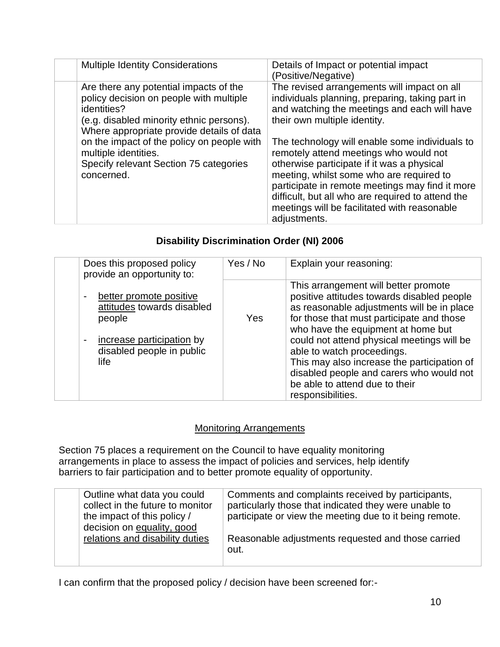| <b>Multiple Identity Considerations</b>                                                                                                                                                                                                                                                                                 | Details of Impact or potential impact<br>(Positive/Negative)                                                                                                                                                                                                                                                                                                                                                                                                                                                                                 |
|-------------------------------------------------------------------------------------------------------------------------------------------------------------------------------------------------------------------------------------------------------------------------------------------------------------------------|----------------------------------------------------------------------------------------------------------------------------------------------------------------------------------------------------------------------------------------------------------------------------------------------------------------------------------------------------------------------------------------------------------------------------------------------------------------------------------------------------------------------------------------------|
| Are there any potential impacts of the<br>policy decision on people with multiple<br>identities?<br>(e.g. disabled minority ethnic persons).<br>Where appropriate provide details of data<br>on the impact of the policy on people with<br>multiple identities.<br>Specify relevant Section 75 categories<br>concerned. | The revised arrangements will impact on all<br>individuals planning, preparing, taking part in<br>and watching the meetings and each will have<br>their own multiple identity.<br>The technology will enable some individuals to<br>remotely attend meetings who would not<br>otherwise participate if it was a physical<br>meeting, whilst some who are required to<br>participate in remote meetings may find it more<br>difficult, but all who are required to attend the<br>meetings will be facilitated with reasonable<br>adjustments. |

### **Disability Discrimination Order (NI) 2006**

| Does this proposed policy<br>provide an opportunity to:                                                                                                                         | Yes / No | Explain your reasoning:                                                                                                                                                                                                                                                                                                                                                                                                                           |
|---------------------------------------------------------------------------------------------------------------------------------------------------------------------------------|----------|---------------------------------------------------------------------------------------------------------------------------------------------------------------------------------------------------------------------------------------------------------------------------------------------------------------------------------------------------------------------------------------------------------------------------------------------------|
| better promote positive<br>$\overline{\phantom{a}}$<br>attitudes towards disabled<br>people<br>increase participation by<br>$\blacksquare$<br>disabled people in public<br>life | Yes      | This arrangement will better promote<br>positive attitudes towards disabled people<br>as reasonable adjustments will be in place<br>for those that must participate and those<br>who have the equipment at home but<br>could not attend physical meetings will be<br>able to watch proceedings.<br>This may also increase the participation of<br>disabled people and carers who would not<br>be able to attend due to their<br>responsibilities. |

### Monitoring Arrangements

Section 75 places a requirement on the Council to have equality monitoring arrangements in place to assess the impact of policies and services, help identify barriers to fair participation and to better promote equality of opportunity.

| Outline what data you could<br>collect in the future to monitor | Comments and complaints received by participants,<br>particularly those that indicated they were unable to |
|-----------------------------------------------------------------|------------------------------------------------------------------------------------------------------------|
| the impact of this policy /                                     | participate or view the meeting due to it being remote.                                                    |
| decision on equality, good<br>relations and disability duties   | Reasonable adjustments requested and those carried                                                         |
|                                                                 | out.                                                                                                       |

I can confirm that the proposed policy / decision have been screened for:-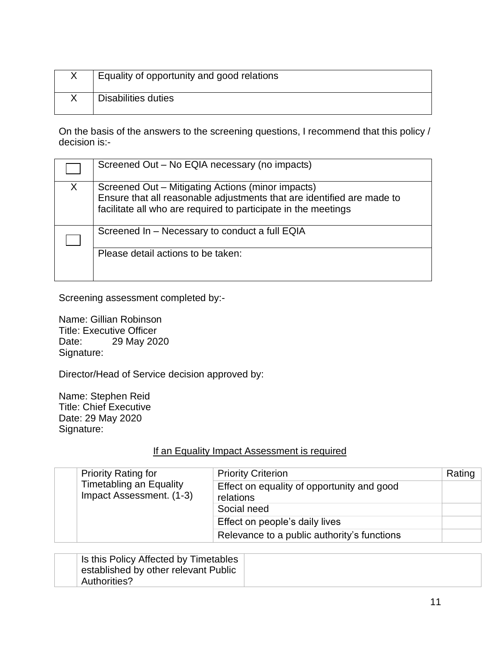| Equality of opportunity and good relations |
|--------------------------------------------|
| Disabilities duties                        |

On the basis of the answers to the screening questions, I recommend that this policy / decision is:-

|   | Screened Out – No EQIA necessary (no impacts)                                                                                                                                                 |
|---|-----------------------------------------------------------------------------------------------------------------------------------------------------------------------------------------------|
| Χ | Screened Out - Mitigating Actions (minor impacts)<br>Ensure that all reasonable adjustments that are identified are made to<br>facilitate all who are required to participate in the meetings |
|   | Screened In - Necessary to conduct a full EQIA                                                                                                                                                |
|   | Please detail actions to be taken:                                                                                                                                                            |

Screening assessment completed by:-

Name: Gillian Robinson Title: Executive Officer<br>Date: 29 May 202 29 May 2020 Signature:

Director/Head of Service decision approved by:

Name: Stephen Reid Title: Chief Executive Date: 29 May 2020 Signature:

### If an Equality Impact Assessment is required

| <b>Priority Rating for</b>                                 | <b>Priority Criterion</b>                               | Rating |
|------------------------------------------------------------|---------------------------------------------------------|--------|
| <b>Timetabling an Equality</b><br>Impact Assessment. (1-3) | Effect on equality of opportunity and good<br>relations |        |
|                                                            | Social need                                             |        |
|                                                            | Effect on people's daily lives                          |        |
|                                                            | Relevance to a public authority's functions             |        |

| Is this Policy Affected by Timetables<br>established by other relevant Public |  |
|-------------------------------------------------------------------------------|--|
| <b>Authorities?</b>                                                           |  |